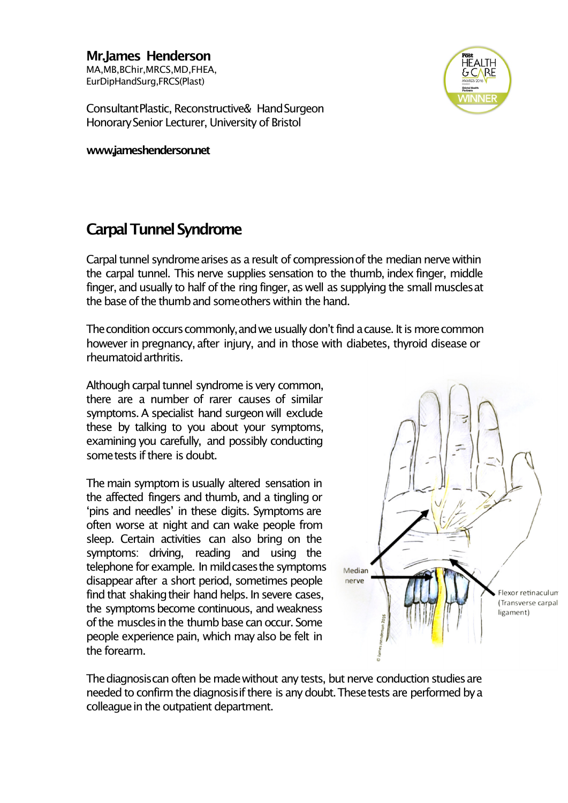**Mr.James Henderson** MA,MB,BChir,MRCS,MD,FHEA, EurDipHandSurg,FRCS(Plast)



ConsultantPlastic, Reconstructive& HandSurgeon HonorarySenior Lecturer, University of Bristol

**www,jameshenderson.net**

## **Carpal Tunnel Syndrome**

Carpal tunnel syndrome arises as a result of compression of the median nerve within the carpal tunnel. This nerve supplies sensation to the thumb, index finger, middle finger, and usually to half of the ring finger, as well as supplying the small muscles at the base of the thumb and some others within the hand.

The condition occurs commonly, and we usually don't find a cause. It is more common however in pregnancy, after injury, and in those with diabetes, thyroid disease or rheumatoidarthritis.

Although carpal tunnel syndrome is very common, there are a number of rarer causes of similar symptoms. A specialist hand surgeon will exclude these by talking to you about your symptoms, examining you carefully, and possibly conducting sometests if there is doubt.

The main symptom is usually altered sensation in the affected fingers and thumb, and a tingling or ʻpins and needles' in these digits. Symptoms are often worse at night and can wake people from sleep. Certain activities can also bring on the symptoms: driving, reading and using the telephone for example. In mild cases the symptoms disappear after a short period, sometimes people find that shaking their hand helps. In severe cases, the symptoms become continuous, and weakness of the musclesin the thumb base can occur. Some people experience pain, which may also be felt in the forearm.



The diagnosis can often be made without any tests, but nerve conduction studies are needed to confirm the diagnosis if there is any doubt. These tests are performed by a colleague in the outpatient department.